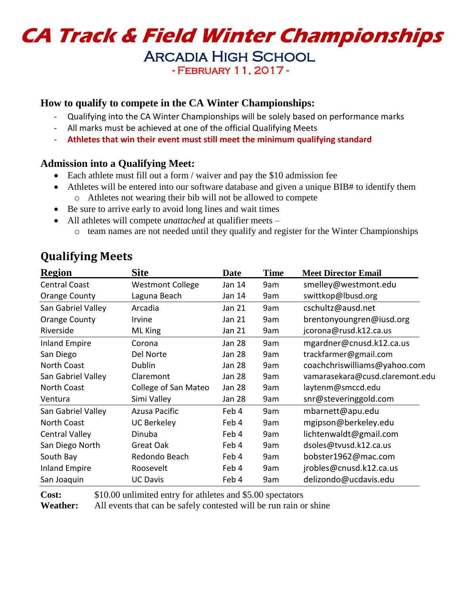# **CA Track & Field Winter Championships**

Arcadia High School - February 11, 2017 -

#### **How to qualify to compete in the CA Winter Championships:**

- Qualifying into the CA Winter Championships will be solely based on performance marks
- All marks must be achieved at one of the official Qualifying Meets
- **Athletes that win their event must still meet the minimum qualifying standard**

#### **Admission into a Qualifying Meet:**

- Each athlete must fill out a form / waiver and pay the \$10 admission fee
- Athletes will be entered into our software database and given a unique BIB# to identify them o Athletes not wearing their bib will not be allowed to compete
- Be sure to arrive early to avoid long lines and wait times
- All athletes will compete *unattached* at qualifier meets
	- o team names are not needed until they qualify and register for the Winter Championships

| <b>Region</b>         | <b>Site</b>             | <b>Date</b> | Time | <b>Meet Director Email</b>      |
|-----------------------|-------------------------|-------------|------|---------------------------------|
| <b>Central Coast</b>  | <b>Westmont College</b> | Jan 14      | 9am  | smelley@westmont.edu            |
| Orange County         | Laguna Beach            | Jan 14      | 9am  | swittkop@lbusd.org              |
| San Gabriel Valley    | Arcadia                 | Jan 21      | 9am  | cschultz@ausd.net               |
| Orange County         | Irvine                  | Jan 21      | 9am  | brentonyoungren@iusd.org        |
| Riverside             | ML King                 | Jan 21      | 9am  | jcorona@rusd.k12.ca.us          |
| <b>Inland Empire</b>  | Corona                  | Jan 28      | 9am  | mgardner@cnusd.k12.ca.us        |
| San Diego             | Del Norte               | Jan 28      | 9am  | trackfarmer@gmail.com           |
| North Coast           | Dublin                  | Jan 28      | 9am  | coachchriswilliams@yahoo.com    |
| San Gabriel Valley    | Claremont               | Jan 28      | 9am  | vamarasekara@cusd.claremont.edu |
| North Coast           | College of San Mateo    | Jan 28      | 9am  | laytenm@smccd.edu               |
| Ventura               | Simi Valley             | Jan 28      | 9am  | snr@steveringgold.com           |
| San Gabriel Valley    | Azusa Pacific           | Feb 4       | 9am  | mbarnett@apu.edu                |
| North Coast           | <b>UC Berkeley</b>      | Feb 4       | 9am  | mgipson@berkeley.edu            |
| <b>Central Valley</b> | Dinuba                  | Feb 4       | 9am  | lichtenwaldt@gmail.com          |
| San Diego North       | Great Oak               | Feb 4       | 9am  | dsoles@tvusd.k12.ca.us          |
| South Bay             | Redondo Beach           | Feb 4       | 9am  | bobster1962@mac.com             |
| <b>Inland Empire</b>  | Roosevelt               | Feb 4       | 9am  | jrobles@cnusd.k12.ca.us         |
| San Joaquin           | <b>UC Davis</b>         | Feb 4       | 9am  | delizondo@ucdavis.edu           |

# **Qualifying Meets**

**Cost:** \$10.00 unlimited entry for athletes and \$5.00 spectators

**Weather:** All events that can be safely contested will be run rain or shine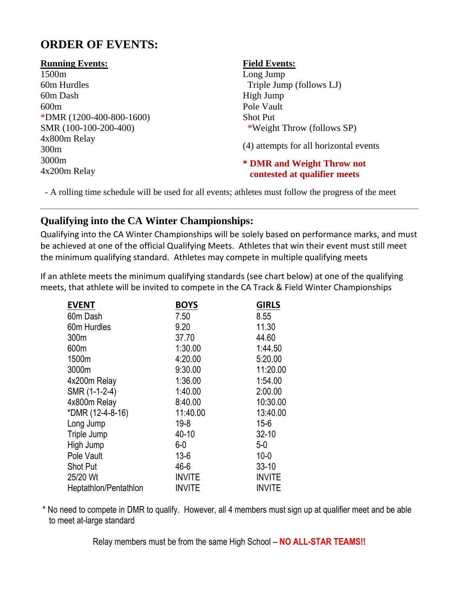# **ORDER OF EVENTS:**

#### **Running Events:**

1500m 60m Hurdles 60m Dash 600m \*DMR (1200-400-800-1600) SMR (100-100-200-400) 4x800m Relay 300m 3000m 4x200m Relay

#### **Field Events:**

Long Jump Triple Jump (follows LJ) High Jump Pole Vault Shot Put \*Weight Throw (follows SP)

(4) attempts for all horizontal events

#### **\* DMR and Weight Throw not contested at qualifier meets**

- A rolling time schedule will be used for all events; athletes must follow the progress of the meet

## **Qualifying into the CA Winter Championships:**

Qualifying into the CA Winter Championships will be solely based on performance marks, and must be achieved at one of the official Qualifying Meets. Athletes that win their event must still meet the minimum qualifying standard. Athletes may compete in multiple qualifying meets

If an athlete meets the minimum qualifying standards (see chart below) at one of the qualifying meets, that athlete will be invited to compete in the CA Track & Field Winter Championships

| <b>EVENT</b>          | <b>BOYS</b>   | <b>GIRLS</b>  |
|-----------------------|---------------|---------------|
| 60m Dash              | 7.50          | 8.55          |
| 60m Hurdles           | 9.20          | 11.30         |
| 300m                  | 37.70         | 44.60         |
| 600m                  | 1:30.00       | 1:44.50       |
| 1500m                 | 4:20.00       | 5:20.00       |
| 3000m                 | 9:30.00       | 11:20.00      |
| 4x200m Relay          | 1:36.00       | 1:54.00       |
| SMR (1-1-2-4)         | 1:40.00       | 2:00.00       |
| 4x800m Relay          | 8:40.00       | 10:30.00      |
| *DMR (12-4-8-16)      | 11:40.00      | 13:40.00      |
| Long Jump             | $19 - 8$      | $15 - 6$      |
| Triple Jump           | 40-10         | $32 - 10$     |
| High Jump             | $6-0$         | $5-0$         |
| Pole Vault            | $13 - 6$      | $10 - 0$      |
| <b>Shot Put</b>       | $46 - 6$      | $33 - 10$     |
| 25/20 Wt              | <b>INVITE</b> | <b>INVITE</b> |
| Heptathlon/Pentathlon | <b>INVITE</b> | <b>INVITE</b> |

\* No need to compete in DMR to qualify. However, all 4 members must sign up at qualifier meet and be able to meet at-large standard

Relay members must be from the same High School – **NO ALL-STAR TEAMS!!**